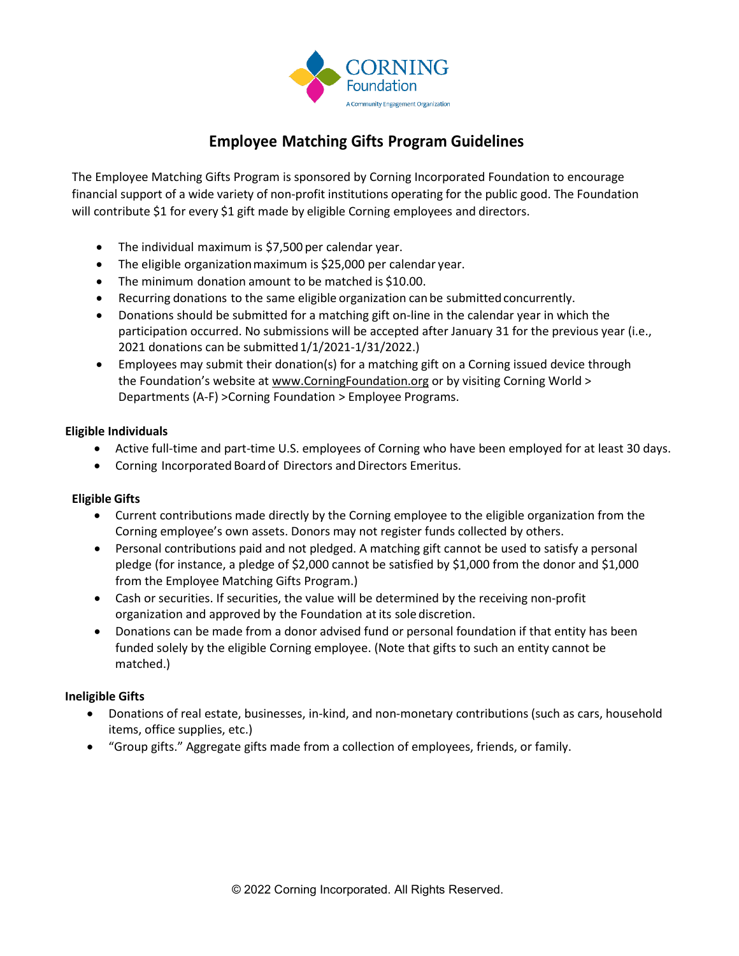

# **Employee Matching Gifts Program Guidelines**

The Employee Matching Gifts Program is sponsored by Corning Incorporated Foundation to encourage financial support of a wide variety of non-profit institutions operating for the public good. The Foundation will contribute \$1 for every \$1 gift made by eligible Corning employees and directors.

- The individual maximum is \$7,500 per calendar year.
- The eligible organization maximum is \$25,000 per calendar year.
- The minimum donation amount to be matched is \$10.00.
- Recurring donations to the same eligible organization can be submitted concurrently.
- Donations should be submitted for a matching gift on-line in the calendar year in which the participation occurred. No submissions will be accepted after January 31 for the previous year (i.e., 2021 donations can be submitted1/1/2021-1/31/2022.)
- Employees may submit their donation(s) for a matching gift on a Corning issued device through the Foundation's website at [www.CorningFoundation.org](http://www.corningfoundation.org/) or by visiting Corning World > Departments (A-F) >Corning Foundation > Employee Programs.

## **Eligible Individuals**

- Active full-time and part-time U.S. employees of Corning who have been employed for at least 30 days.
- Corning Incorporated Board of Directors and Directors Emeritus.

## **Eligible Gifts**

- Current contributions made directly by the Corning employee to the eligible organization from the Corning employee's own assets. Donors may not register funds collected by others.
- Personal contributions paid and not pledged. A matching gift cannot be used to satisfy a personal pledge (for instance, a pledge of \$2,000 cannot be satisfied by \$1,000 from the donor and \$1,000 from the Employee Matching Gifts Program.)
- Cash or securities. If securities, the value will be determined by the receiving non-profit organization and approved by the Foundation atits sole discretion.
- Donations can be made from a donor advised fund or personal foundation if that entity has been funded solely by the eligible Corning employee. (Note that gifts to such an entity cannot be matched.)

## **Ineligible Gifts**

- Donations of real estate, businesses, in-kind, and non-monetary contributions (such as cars, household items, office supplies, etc.)
- "Group gifts." Aggregate gifts made from a collection of employees, friends, or family.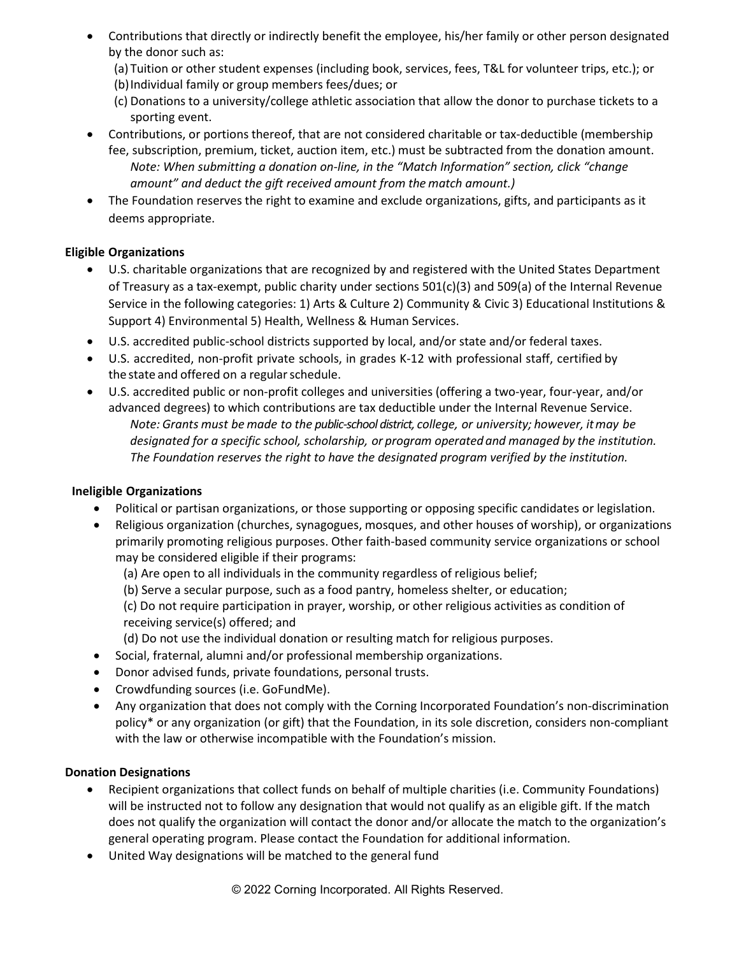- Contributions that directly or indirectly benefit the employee, his/her family or other person designated by the donor such as:
	- (a) Tuition or other student expenses (including book, services, fees, T&L for volunteer trips, etc.); or
	- (b)Individual family or group members fees/dues; or
	- (c) Donations to a university/college athletic association that allow the donor to purchase tickets to a sporting event.
- Contributions, or portions thereof, that are not considered charitable or tax-deductible (membership fee, subscription, premium, ticket, auction item, etc.) must be subtracted from the donation amount. *Note: When submitting a donation on-line, in the "Match Information" section, click "change amount" and deduct the gift received amount from the match amount.)*
- The Foundation reserves the right to examine and exclude organizations, gifts, and participants as it deems appropriate.

# **Eligible Organizations**

- U.S. charitable organizations that are recognized by and registered with the United States Department of Treasury as a tax-exempt, public charity under sections 501(c)(3) and 509(a) of the Internal Revenue Service in the following categories: 1) Arts & Culture 2) Community & Civic 3) Educational Institutions & Support 4) Environmental 5) Health, Wellness & Human Services.
- U.S. accredited public-school districts supported by local, and/or state and/or federal taxes.
- U.S. accredited, non-profit private schools, in grades K-12 with professional staff, certified by the state and offered on a regular schedule.
- U.S. accredited public or non-profit colleges and universities (offering a two-year, four-year, and/or advanced degrees) to which contributions are tax deductible under the Internal Revenue Service. *Note: Grants must be made to the public-school district, college, or university; however, itmay be designated for a specific school, scholarship, or program operatedand managed by the institution. The Foundation reserves the right to have the designated program verified by the institution.*

## **Ineligible Organizations**

- Political or partisan organizations, or those supporting or opposing specific candidates or legislation.
- Religious organization (churches, synagogues, mosques, and other houses of worship), or organizations primarily promoting religious purposes. Other faith-based community service organizations or school may be considered eligible if their programs:
	- (a) Are open to all individuals in the community regardless of religious belief;
	- (b) Serve a secular purpose, such as a food pantry, homeless shelter, or education;

(c) Do not require participation in prayer, worship, or other religious activities as condition of receiving service(s) offered; and

(d) Do not use the individual donation or resulting match for religious purposes.

- Social, fraternal, alumni and/or professional membership organizations.
- Donor advised funds, private foundations, personal trusts.
- Crowdfunding sources (i.e. GoFundMe).
- Any organization that does not comply with the Corning Incorporated Foundation's non-discrimination policy\* or any organization (or gift) that the Foundation, in its sole discretion, considers non-compliant with the law or otherwise incompatible with the Foundation's mission.

## **Donation Designations**

- Recipient organizations that collect funds on behalf of multiple charities (i.e. Community Foundations) will be instructed not to follow any designation that would not qualify as an eligible gift. If the match does not qualify the organization will contact the donor and/or allocate the match to the organization's general operating program. Please contact the Foundation for additional information.
- United Way designations will be matched to the general fund